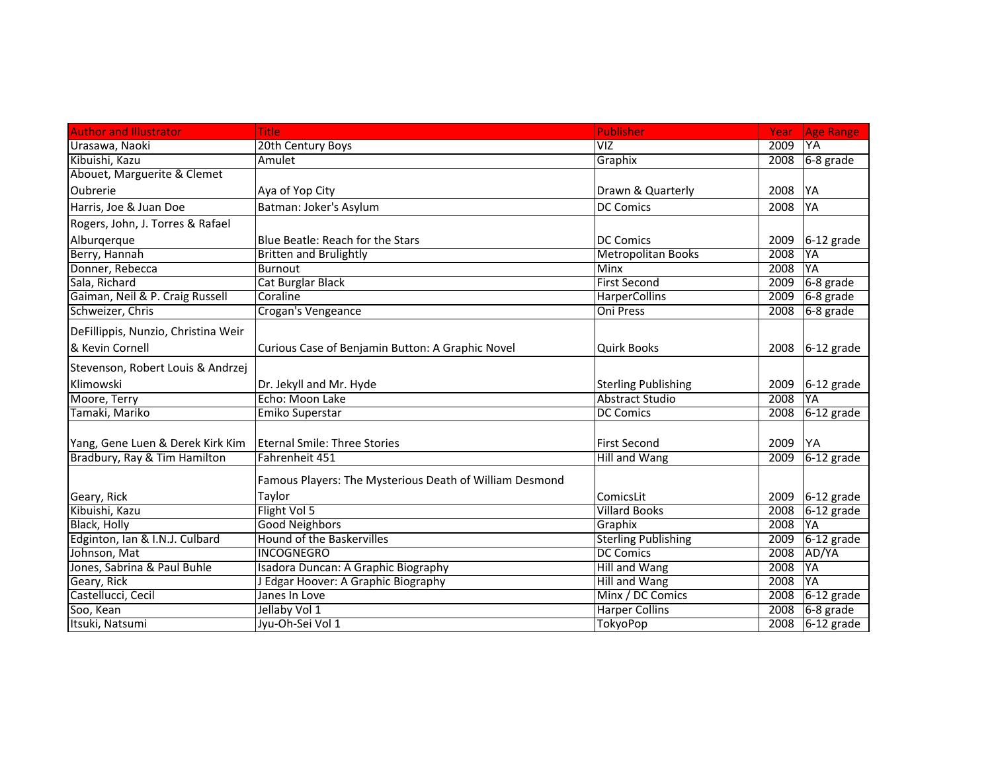| <b>Author and Illustrator</b>       | <b>Title</b>                                            | <b>Publisher</b>           | Year | <b>Age Range</b> |
|-------------------------------------|---------------------------------------------------------|----------------------------|------|------------------|
| Urasawa, Naoki                      | 20th Century Boys                                       | $\overline{V}$             | 2009 | YA               |
| Kibuishi, Kazu                      | Amulet                                                  | Graphix                    | 2008 | $6-8$ grade      |
| Abouet, Marguerite & Clemet         |                                                         |                            |      |                  |
| Oubrerie                            | Aya of Yop City                                         | Drawn & Quarterly          | 2008 | YA               |
| Harris, Joe & Juan Doe              | Batman: Joker's Asylum                                  | <b>DC Comics</b>           | 2008 | YA               |
| Rogers, John, J. Torres & Rafael    |                                                         |                            |      |                  |
| Alburgerque                         | Blue Beatle: Reach for the Stars                        | <b>DC Comics</b>           | 2009 | $6-12$ grade     |
| Berry, Hannah                       | <b>Britten and Brulightly</b>                           | <b>Metropolitan Books</b>  | 2008 | YA               |
| Donner, Rebecca                     | <b>Burnout</b>                                          | <b>Minx</b>                | 2008 | YA               |
| Sala, Richard                       | <b>Cat Burglar Black</b>                                | <b>First Second</b>        | 2009 | $6-8$ grade      |
| Gaiman, Neil & P. Craig Russell     | Coraline                                                | <b>HarperCollins</b>       | 2009 | 6-8 grade        |
| Schweizer, Chris                    | Crogan's Vengeance                                      | Oni Press                  | 2008 | 6-8 grade        |
| DeFillippis, Nunzio, Christina Weir |                                                         |                            |      |                  |
| & Kevin Cornell                     | Curious Case of Benjamin Button: A Graphic Novel        | <b>Quirk Books</b>         |      | 2008 6-12 grade  |
| Stevenson, Robert Louis & Andrzej   |                                                         |                            |      |                  |
| Klimowski                           | Dr. Jekyll and Mr. Hyde                                 | <b>Sterling Publishing</b> | 2009 | $6-12$ grade     |
| Moore, Terry                        | Echo: Moon Lake                                         | <b>Abstract Studio</b>     | 2008 | YA               |
| Tamaki, Mariko                      | Emiko Superstar                                         | <b>DC Comics</b>           |      | 2008 6-12 grade  |
|                                     |                                                         |                            |      |                  |
| Yang, Gene Luen & Derek Kirk Kim    | <b>Eternal Smile: Three Stories</b>                     | <b>First Second</b>        | 2009 | <b>YA</b>        |
| Bradbury, Ray & Tim Hamilton        | Fahrenheit 451                                          | <b>Hill and Wang</b>       | 2009 | $6-12$ grade     |
|                                     | Famous Players: The Mysterious Death of William Desmond |                            |      |                  |
| Geary, Rick                         | Taylor                                                  | ComicsLit                  | 2009 | $6-12$ grade     |
| Kibuishi, Kazu                      | Flight Vol 5                                            | <b>Villard Books</b>       | 2008 | $6-12$ grade     |
| <b>Black, Holly</b>                 | <b>Good Neighbors</b>                                   | Graphix                    | 2008 | YA               |
| Edginton, Ian & I.N.J. Culbard      | <b>Hound of the Baskervilles</b>                        | <b>Sterling Publishing</b> | 2009 | 6-12 grade       |
| Johnson, Mat                        | <b>INCOGNEGRO</b>                                       | <b>DC Comics</b>           | 2008 | AD/YA            |
| Jones, Sabrina & Paul Buhle         | Isadora Duncan: A Graphic Biography                     | Hill and Wang              | 2008 | YA               |
| Geary, Rick                         | J Edgar Hoover: A Graphic Biography                     | Hill and Wang              | 2008 | YA               |
| Castellucci, Cecil                  | Janes In Love                                           | Minx / DC Comics           | 2008 | $6-12$ grade     |
| Soo, Kean                           | Jellaby Vol 1                                           | <b>Harper Collins</b>      |      | $2008$ 6-8 grade |
| Itsuki, Natsumi                     | Jyu-Oh-Sei Vol 1                                        | <b>TokyoPop</b>            |      | 2008 6-12 grade  |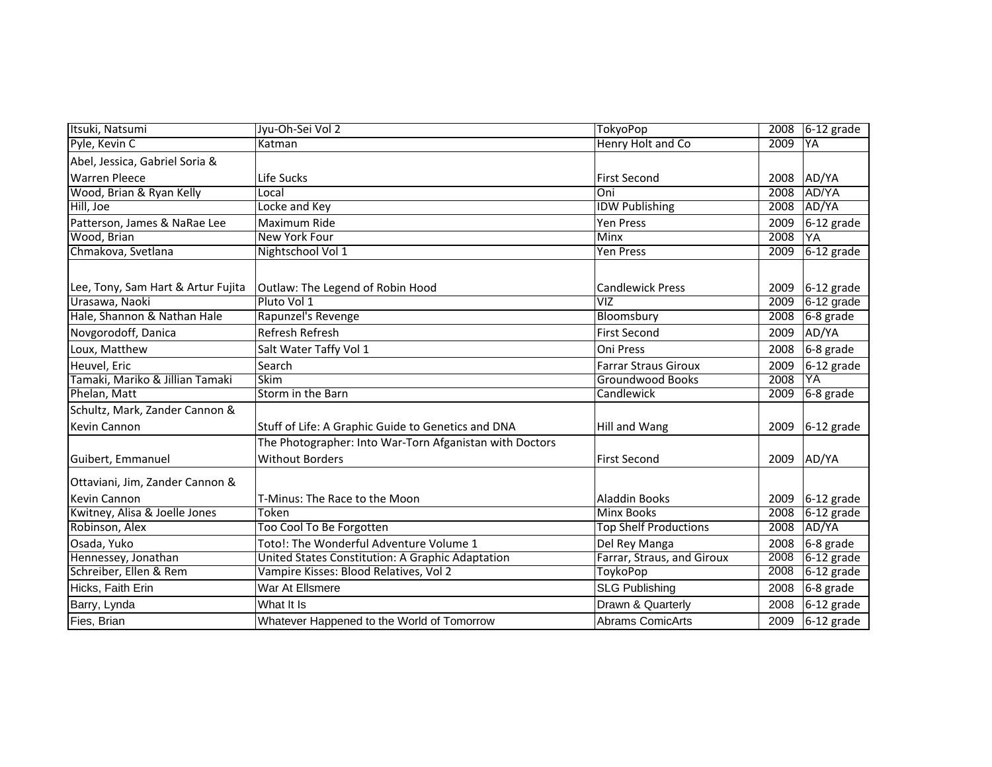| Itsuki, Natsumi                    | Jyu-Oh-Sei Vol 2                                        | <b>TokyoPop</b>              | 2008 | $6-12$ grade    |
|------------------------------------|---------------------------------------------------------|------------------------------|------|-----------------|
| Pyle, Kevin C                      | Katman                                                  | Henry Holt and Co            | 2009 | <b>YA</b>       |
| Abel, Jessica, Gabriel Soria &     |                                                         |                              |      |                 |
| <b>Warren Pleece</b>               | Life Sucks                                              | <b>First Second</b>          | 2008 | AD/YA           |
| Wood, Brian & Ryan Kelly           | Local                                                   | Oni                          | 2008 | AD/YA           |
| Hill, Joe                          | Locke and Key                                           | <b>IDW Publishing</b>        | 2008 | AD/YA           |
| Patterson, James & NaRae Lee       | Maximum Ride                                            | Yen Press                    | 2009 | 6-12 grade      |
| Wood, Brian                        | New York Four                                           | Minx                         | 2008 | YA              |
| Chmakova, Svetlana                 | Nightschool Vol 1                                       | Yen Press                    | 2009 | $6-12$ grade    |
|                                    |                                                         |                              |      |                 |
| Lee, Tony, Sam Hart & Artur Fujita | Outlaw: The Legend of Robin Hood                        | <b>Candlewick Press</b>      | 2009 | 6-12 grade      |
| Urasawa, Naoki                     | Pluto Vol 1                                             | $\overline{VIZ}$             | 2009 | $6-12$ grade    |
| Hale, Shannon & Nathan Hale        | Rapunzel's Revenge                                      | Bloomsbury                   | 2008 | 6-8 grade       |
| Novgorodoff, Danica                | Refresh Refresh                                         | <b>First Second</b>          | 2009 | AD/YA           |
| Loux, Matthew                      | Salt Water Taffy Vol 1                                  | Oni Press                    | 2008 | 6-8 grade       |
| Heuvel, Eric                       | Search                                                  | <b>Farrar Straus Giroux</b>  | 2009 | 6-12 grade      |
| Tamaki, Mariko & Jillian Tamaki    | <b>Skim</b>                                             | <b>Groundwood Books</b>      | 2008 | YA              |
| Phelan, Matt                       | Storm in the Barn                                       | Candlewick                   | 2009 | 6-8 grade       |
| Schultz, Mark, Zander Cannon &     |                                                         |                              |      |                 |
| Kevin Cannon                       | Stuff of Life: A Graphic Guide to Genetics and DNA      | Hill and Wang                | 2009 | $6-12$ grade    |
|                                    | The Photographer: Into War-Torn Afganistan with Doctors |                              |      |                 |
| Guibert, Emmanuel                  | <b>Without Borders</b>                                  | <b>First Second</b>          | 2009 | AD/YA           |
| Ottaviani, Jim, Zander Cannon &    |                                                         |                              |      |                 |
| Kevin Cannon                       | T-Minus: The Race to the Moon                           | <b>Aladdin Books</b>         |      | 2009 6-12 grade |
| Kwitney, Alisa & Joelle Jones      | Token                                                   | Minx Books                   | 2008 | $6-12$ grade    |
| Robinson, Alex                     | Too Cool To Be Forgotten                                | <b>Top Shelf Productions</b> | 2008 | AD/YA           |
| Osada, Yuko                        | Toto!: The Wonderful Adventure Volume 1                 | Del Rey Manga                | 2008 | 6-8 grade       |
| Hennessey, Jonathan                | United States Constitution: A Graphic Adaptation        | Farrar, Straus, and Giroux   | 2008 | $6-12$ grade    |
| Schreiber, Ellen & Rem             | Vampire Kisses: Blood Relatives, Vol 2                  | ToykoPop                     | 2008 | $6-12$ grade    |
| Hicks, Faith Erin                  | War At Ellsmere                                         | <b>SLG Publishing</b>        | 2008 | 6-8 grade       |
| Barry, Lynda                       | What It Is                                              | Drawn & Quarterly            | 2008 | $6-12$ grade    |
| Fies, Brian                        | Whatever Happened to the World of Tomorrow              | <b>Abrams ComicArts</b>      | 2009 | $6-12$ grade    |